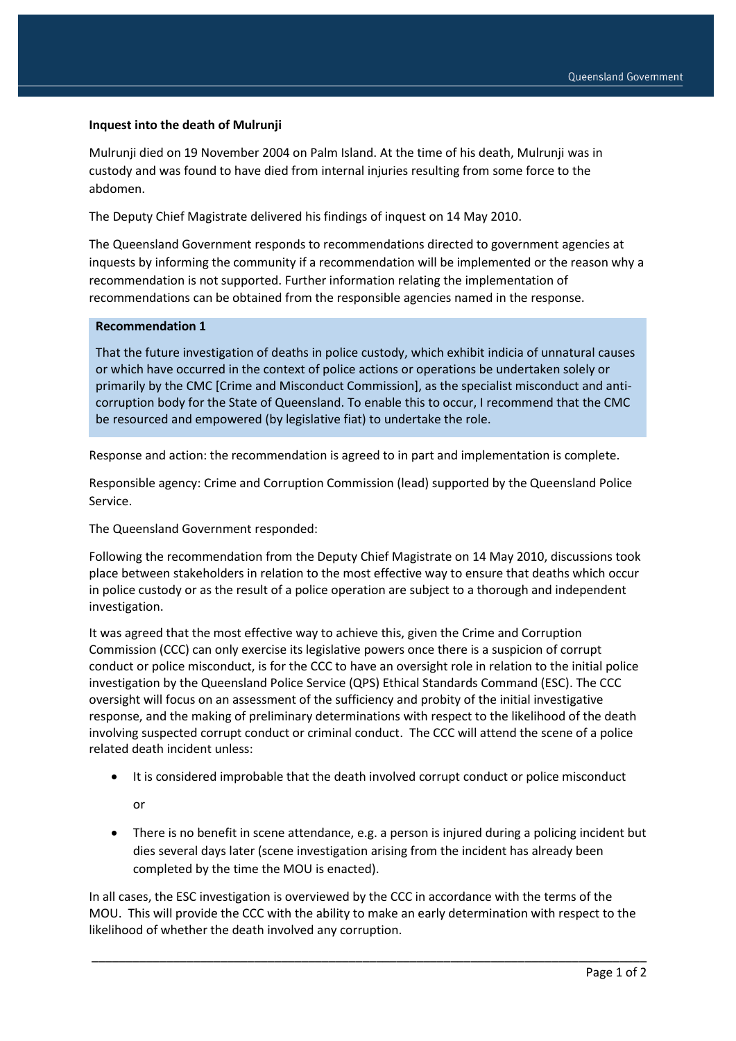## **Inquest into the death of Mulrunji**

Mulrunji died on 19 November 2004 on Palm Island. At the time of his death, Mulrunji was in custody and was found to have died from internal injuries resulting from some force to the abdomen.

The Deputy Chief Magistrate delivered his findings of inquest on 14 May 2010.

The Queensland Government responds to recommendations directed to government agencies at inquests by informing the community if a recommendation will be implemented or the reason why a recommendation is not supported. Further information relating the implementation of recommendations can be obtained from the responsible agencies named in the response.

## **Recommendation 1**

That the future investigation of deaths in police custody, which exhibit indicia of unnatural causes or which have occurred in the context of police actions or operations be undertaken solely or primarily by the CMC [Crime and Misconduct Commission], as the specialist misconduct and anticorruption body for the State of Queensland. To enable this to occur, I recommend that the CMC be resourced and empowered (by legislative fiat) to undertake the role.

Response and action: the recommendation is agreed to in part and implementation is complete.

Responsible agency: Crime and Corruption Commission (lead) supported by the Queensland Police Service.

The Queensland Government responded:

Following the recommendation from the Deputy Chief Magistrate on 14 May 2010, discussions took place between stakeholders in relation to the most effective way to ensure that deaths which occur in police custody or as the result of a police operation are subject to a thorough and independent investigation.

It was agreed that the most effective way to achieve this, given the Crime and Corruption Commission (CCC) can only exercise its legislative powers once there is a suspicion of corrupt conduct or police misconduct, is for the CCC to have an oversight role in relation to the initial police investigation by the Queensland Police Service (QPS) Ethical Standards Command (ESC). The CCC oversight will focus on an assessment of the sufficiency and probity of the initial investigative response, and the making of preliminary determinations with respect to the likelihood of the death involving suspected corrupt conduct or criminal conduct. The CCC will attend the scene of a police related death incident unless:

• It is considered improbable that the death involved corrupt conduct or police misconduct

or

 There is no benefit in scene attendance, e.g. a person is injured during a policing incident but dies several days later (scene investigation arising from the incident has already been completed by the time the MOU is enacted).

In all cases, the ESC investigation is overviewed by the CCC in accordance with the terms of the MOU. This will provide the CCC with the ability to make an early determination with respect to the likelihood of whether the death involved any corruption.

\_\_\_\_\_\_\_\_\_\_\_\_\_\_\_\_\_\_\_\_\_\_\_\_\_\_\_\_\_\_\_\_\_\_\_\_\_\_\_\_\_\_\_\_\_\_\_\_\_\_\_\_\_\_\_\_\_\_\_\_\_\_\_\_\_\_\_\_\_\_\_\_\_\_\_\_\_\_\_\_\_\_